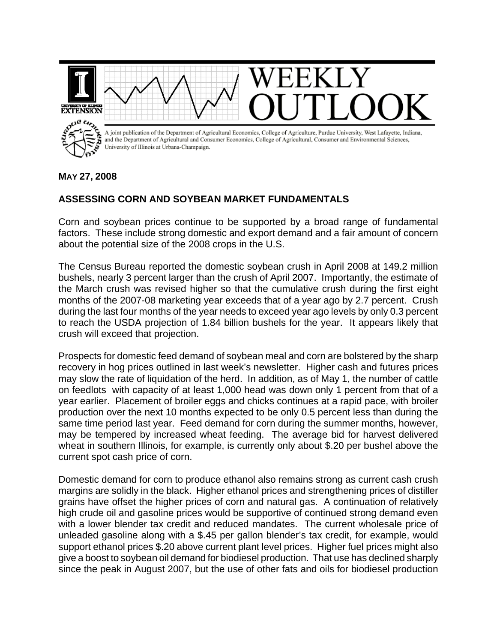

## **MAY 27, 2008**

## **ASSESSING CORN AND SOYBEAN MARKET FUNDAMENTALS**

Corn and soybean prices continue to be supported by a broad range of fundamental factors. These include strong domestic and export demand and a fair amount of concern about the potential size of the 2008 crops in the U.S.

The Census Bureau reported the domestic soybean crush in April 2008 at 149.2 million bushels, nearly 3 percent larger than the crush of April 2007. Importantly, the estimate of the March crush was revised higher so that the cumulative crush during the first eight months of the 2007-08 marketing year exceeds that of a year ago by 2.7 percent. Crush during the last four months of the year needs to exceed year ago levels by only 0.3 percent to reach the USDA projection of 1.84 billion bushels for the year. It appears likely that crush will exceed that projection.

Prospects for domestic feed demand of soybean meal and corn are bolstered by the sharp recovery in hog prices outlined in last week's newsletter. Higher cash and futures prices may slow the rate of liquidation of the herd. In addition, as of May 1, the number of cattle on feedlots with capacity of at least 1,000 head was down only 1 percent from that of a year earlier. Placement of broiler eggs and chicks continues at a rapid pace, with broiler production over the next 10 months expected to be only 0.5 percent less than during the same time period last year. Feed demand for corn during the summer months, however, may be tempered by increased wheat feeding. The average bid for harvest delivered wheat in southern Illinois, for example, is currently only about \$.20 per bushel above the current spot cash price of corn.

Domestic demand for corn to produce ethanol also remains strong as current cash crush margins are solidly in the black. Higher ethanol prices and strengthening prices of distiller grains have offset the higher prices of corn and natural gas. A continuation of relatively high crude oil and gasoline prices would be supportive of continued strong demand even with a lower blender tax credit and reduced mandates. The current wholesale price of unleaded gasoline along with a \$.45 per gallon blender's tax credit, for example, would support ethanol prices \$.20 above current plant level prices. Higher fuel prices might also give a boost to soybean oil demand for biodiesel production. That use has declined sharply since the peak in August 2007, but the use of other fats and oils for biodiesel production